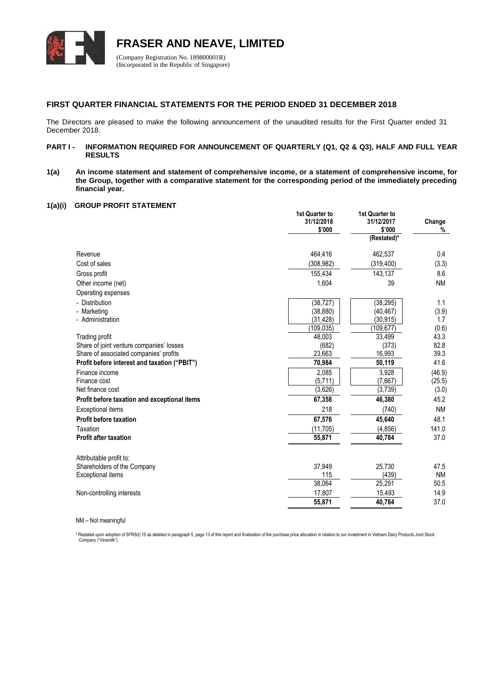

**FRASER AND NEAVE, LIMITED**

(Company Registration No. 189800001R) (Incorporated in the Republic of Singapore)

# **FIRST QUARTER FINANCIAL STATEMENTS FOR THE PERIOD ENDED 31 DECEMBER 2018**

The Directors are pleased to make the following announcement of the unaudited results for the First Quarter ended 31 December 2018.

# PART I - **INFORMATION REQUIRED FOR ANNOUNCEMENT OF QUARTERLY (Q1, Q2 & Q3), HALF AND FULL YEAR RESULTS**

**1(a) An income statement and statement of comprehensive income, or a statement of comprehensive income, for the Group, together with a comparative statement for the corresponding period of the immediately preceding financial year.**

# **1(a)(i) GROUP PROFIT STATEMENT**

|                                              | 1st Quarter to<br>31/12/2018<br>\$'000 | 1st Quarter to<br>31/12/2017<br>\$'000 | Change<br>% |
|----------------------------------------------|----------------------------------------|----------------------------------------|-------------|
|                                              |                                        | (Restated)*                            |             |
| Revenue                                      | 464,416                                | 462,537                                | 0.4         |
| Cost of sales                                | (308, 982)                             | (319, 400)                             | (3.3)       |
| Gross profit                                 | 155,434                                | 143,137                                | 8.6         |
| Other income (net)                           | 1,604                                  | 39                                     | <b>NM</b>   |
| Operating expenses                           |                                        |                                        |             |
| - Distribution                               | (38, 727)                              | (38, 295)                              | 1.1         |
| - Marketing                                  | (38, 880)                              | (40, 467)                              | (3.9)       |
| - Administration                             | (31, 428)                              | (30, 915)                              | 1.7         |
|                                              | (109, 035)                             | (109, 677)                             | (0.6)       |
| Trading profit                               | 48,003                                 | 33,499                                 | 43.3        |
| Share of joint venture companies' losses     | (682)                                  | (373)                                  | 82.8        |
| Share of associated companies' profits       | 23,663                                 | 16,993                                 | 39.3        |
| Profit before interest and taxation ("PBIT") | 70,984                                 | 50,119                                 | 41.6        |
| Finance income                               | 2,085                                  | 3,928                                  | (46.9)      |
| Finance cost                                 | (5,711)                                | (7,667)                                | (25.5)      |
| Net finance cost                             | (3,626)                                | (3,739)                                | (3.0)       |
| Profit before taxation and exceptional items | 67,358                                 | 46,380                                 | 45.2        |
| <b>Exceptional items</b>                     | 218                                    | (740)                                  | <b>NM</b>   |
| <b>Profit before taxation</b>                | 67,576                                 | 45,640                                 | 48.1        |
| Taxation                                     | (11, 705)                              | (4, 856)                               | 141.0       |
| <b>Profit after taxation</b>                 | 55,871                                 | 40,784                                 | 37.0        |
| Attributable profit to:                      |                                        |                                        |             |
| Shareholders of the Company                  | 37,949                                 | 25,730                                 | 47.5        |
| <b>Exceptional items</b>                     | 115                                    | (439)                                  | <b>NM</b>   |
|                                              | 38,064                                 | 25,291                                 | 50.5        |
| Non-controlling interests                    | 17,807                                 | 15,493                                 | 14.9        |
|                                              | 55,871                                 | 40,784                                 | 37.0        |
|                                              |                                        |                                        |             |

NM – Not meaningful

\* Restated upon adoption of SFRS(I) 15 as detailed in paragraph 5, page 13 of this report and finalisation of the purchase price allocation in relation to our investment in Vietnam Dairy Products Joint Stock Company ("Vinamilk").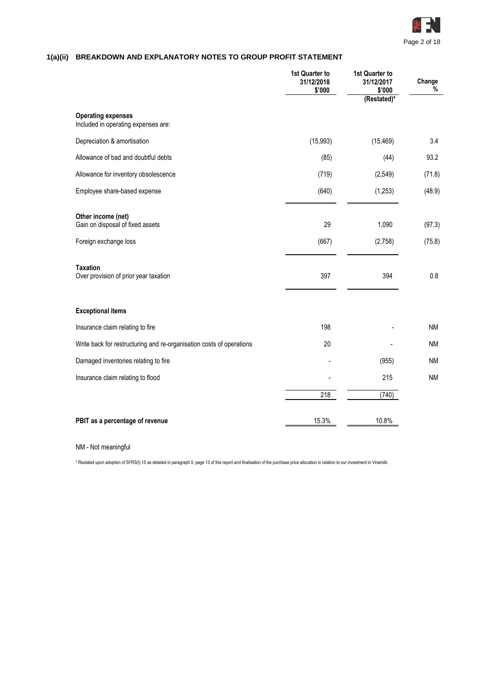

# **1(a)(ii) BREAKDOWN AND EXPLANATORY NOTES TO GROUP PROFIT STATEMENT**

|                                                                                 | 1st Quarter to<br>31/12/2018<br>\$'000 | 1st Quarter to<br>31/12/2017<br>\$'000<br>(Restated)* | Change<br>%      |
|---------------------------------------------------------------------------------|----------------------------------------|-------------------------------------------------------|------------------|
| <b>Operating expenses</b><br>Included in operating expenses are:                |                                        |                                                       |                  |
| Depreciation & amortisation                                                     | (15,993)                               | (15, 469)                                             | 3.4              |
| Allowance of bad and doubtful debts                                             | (85)                                   | (44)                                                  | 93.2             |
| Allowance for inventory obsolescence                                            | (719)                                  | (2, 549)                                              | (71.8)           |
| Employee share-based expense                                                    | (640)                                  | (1,253)                                               | (48.9)           |
| Other income (net)<br>Gain on disposal of fixed assets<br>Foreign exchange loss | 29<br>(667)                            | 1,090<br>(2,758)                                      | (97.3)<br>(75.8) |
| <b>Taxation</b><br>Over provision of prior year taxation                        | 397                                    | 394                                                   | 0.8              |
| <b>Exceptional items</b>                                                        |                                        |                                                       |                  |
| Insurance claim relating to fire                                                | 198                                    |                                                       | <b>NM</b>        |
| Write back for restructuring and re-organisation costs of operations            | 20                                     |                                                       | <b>NM</b>        |
| Damaged inventories relating to fire                                            |                                        | (955)                                                 | <b>NM</b>        |
| Insurance claim relating to flood                                               |                                        | 215                                                   | <b>NM</b>        |
|                                                                                 | 218                                    | (740)                                                 |                  |
| PBIT as a percentage of revenue                                                 | 15.3%                                  | 10.8%                                                 |                  |

NM - Not meaningful

\* Restated upon adoption of SFRS(I) 15 as detailed in paragraph 5, page 13 of this report and finalisation of the purchase price allocation in relation to our investment in Vinamilk.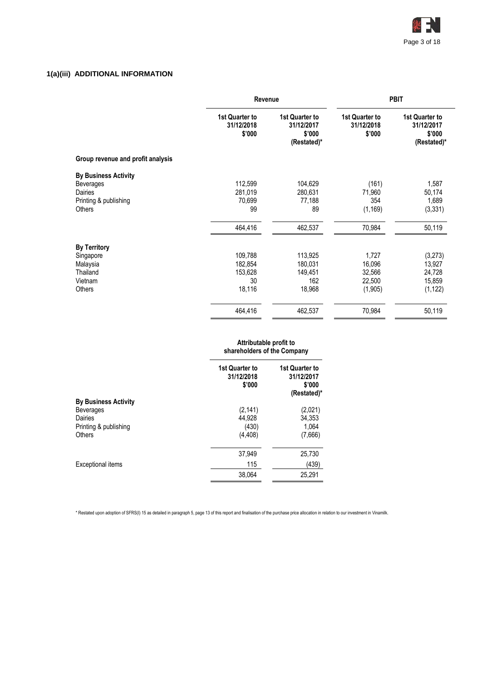

# **1(a)(iii) ADDITIONAL INFORMATION**

|                                   | Revenue                                |                                                       | <b>PBIT</b>                            |                                                       |  |
|-----------------------------------|----------------------------------------|-------------------------------------------------------|----------------------------------------|-------------------------------------------------------|--|
|                                   | 1st Quarter to<br>31/12/2018<br>\$'000 | 1st Quarter to<br>31/12/2017<br>\$'000<br>(Restated)* | 1st Quarter to<br>31/12/2018<br>\$'000 | 1st Quarter to<br>31/12/2017<br>\$'000<br>(Restated)* |  |
| Group revenue and profit analysis |                                        |                                                       |                                        |                                                       |  |
| <b>By Business Activity</b>       |                                        |                                                       |                                        |                                                       |  |
| <b>Beverages</b>                  | 112,599                                | 104,629                                               | (161)                                  | 1,587                                                 |  |
| Dairies                           | 281,019                                | 280,631                                               | 71,960                                 | 50,174                                                |  |
| Printing & publishing             | 70,699                                 | 77,188                                                | 354                                    | 1,689                                                 |  |
| <b>Others</b>                     | 99                                     | 89                                                    | (1, 169)                               | (3, 331)                                              |  |
|                                   | 464,416                                | 462,537                                               | 70,984                                 | 50,119                                                |  |
| <b>By Territory</b>               |                                        |                                                       |                                        |                                                       |  |
| Singapore                         | 109,788                                | 113,925                                               | 1,727                                  | (3,273)                                               |  |
| Malaysia                          | 182,854                                | 180,031                                               | 16,096                                 | 13,927                                                |  |
| Thailand                          | 153,628                                | 149,451                                               | 32,566                                 | 24,728                                                |  |
| Vietnam                           | 30                                     | 162                                                   | 22,500                                 | 15,859                                                |  |
| Others                            | 18,116                                 | 18,968                                                | (1,905)                                | (1, 122)                                              |  |
|                                   | 464,416                                | 462,537                                               | 70,984                                 | 50,119                                                |  |
|                                   |                                        |                                                       |                                        |                                                       |  |

# **Attributable profit to shareholders of the Company 1st Quarter to 31/12/2018 \$'000 1st Quarter to 31/12/2017 \$'000 (Restated)\* By Business Activity** Beverages (2,141) (2,021)<br>Dairies (2,021) (2,021) (2,021) Dairies 44,928 34,353 Printing & publishing (430) (430) (450) (64<br>Others (666) (4,408) (7,666) Others (4,408) (7,666) 37,949 25,730 Exceptional items (439) 38,064 25,291

\* Restated upon adoption of SFRS(I) 15 as detailed in paragraph 5, page 13 of this report and finalisation of the purchase price allocation in relation to our investment in Vinamilk.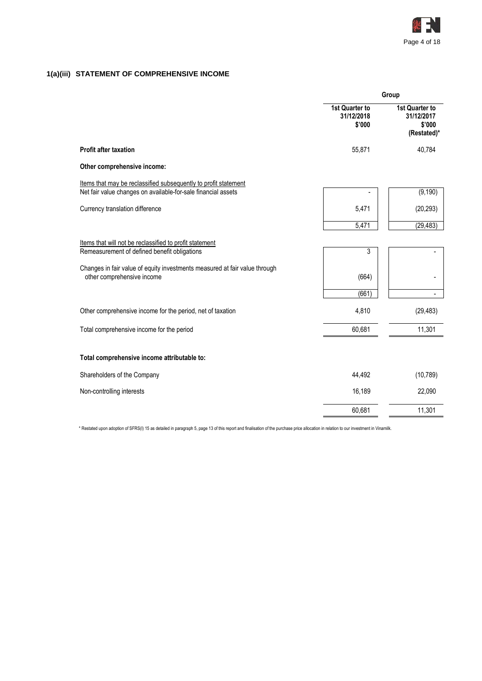

# **1(a)(iii) STATEMENT OF COMPREHENSIVE INCOME**

|                                                                                                                                  |                                        | Group                                                 |
|----------------------------------------------------------------------------------------------------------------------------------|----------------------------------------|-------------------------------------------------------|
|                                                                                                                                  | 1st Quarter to<br>31/12/2018<br>\$'000 | 1st Quarter to<br>31/12/2017<br>\$'000<br>(Restated)* |
| <b>Profit after taxation</b>                                                                                                     | 55,871                                 | 40,784                                                |
| Other comprehensive income:                                                                                                      |                                        |                                                       |
| Items that may be reclassified subsequently to profit statement<br>Net fair value changes on available-for-sale financial assets |                                        | (9, 190)                                              |
| Currency translation difference                                                                                                  | 5,471                                  | (20, 293)                                             |
|                                                                                                                                  | 5,471                                  | (29, 483)                                             |
| Items that will not be reclassified to profit statement<br>Remeasurement of defined benefit obligations                          | 3                                      |                                                       |
| Changes in fair value of equity investments measured at fair value through<br>other comprehensive income                         | (664)                                  |                                                       |
|                                                                                                                                  | (661)                                  |                                                       |
| Other comprehensive income for the period, net of taxation                                                                       | 4,810                                  | (29, 483)                                             |
| Total comprehensive income for the period                                                                                        | 60,681                                 | 11,301                                                |
| Total comprehensive income attributable to:                                                                                      |                                        |                                                       |
| Shareholders of the Company                                                                                                      | 44,492                                 | (10, 789)                                             |
| Non-controlling interests                                                                                                        | 16,189                                 | 22,090                                                |
|                                                                                                                                  | 60,681                                 | 11,301                                                |

\* Restated upon adoption of SFRS(I) 15 as detailed in paragraph 5, page 13 of this report and finalisation of the purchase price allocation in relation to our investment in Vinamilk.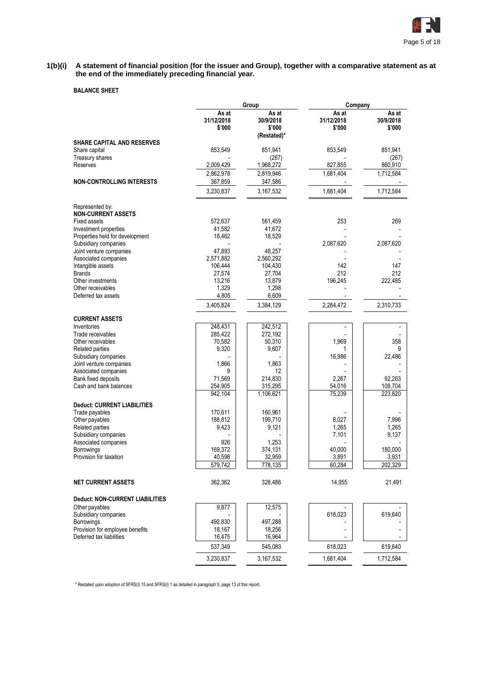

#### **1(b)(i) A statement of financial position (for the issuer and Group), together with a comparative statement as at the end of the immediately preceding financial year.**

# **BALANCE SHEET**

|                                                             |                               | Group                                       | Company                       |                              |
|-------------------------------------------------------------|-------------------------------|---------------------------------------------|-------------------------------|------------------------------|
|                                                             | As at<br>31/12/2018<br>\$'000 | As at<br>30/9/2018<br>\$'000<br>(Restated)* | As at<br>31/12/2018<br>\$'000 | As at<br>30/9/2018<br>\$'000 |
| <b>SHARE CAPITAL AND RESERVES</b>                           |                               |                                             |                               |                              |
| Share capital                                               | 853,549                       | 851,941                                     | 853,549                       | 851,941                      |
| <b>Treasury shares</b>                                      |                               | (267)                                       |                               | (267)                        |
| Reserves                                                    | 2,009,429<br>2,862,978        | 1,968,272<br>2,819,946                      | 827,855<br>1,681,404          | 860,910<br>1,712,584         |
| <b>NON-CONTROLLING INTERESTS</b>                            | 367,859                       | 347,586                                     |                               |                              |
|                                                             | 3,230,837                     | 3,167,532                                   | 1,681,404                     | 1,712,584                    |
| Represented by:                                             |                               |                                             |                               |                              |
| <b>NON-CURRENT ASSETS</b>                                   |                               |                                             |                               |                              |
| <b>Fixed assets</b>                                         | 572,637                       | 561,459                                     | 253                           | 269                          |
| Investment properties                                       | 41,582<br>18,462              | 41,672<br>18,529                            |                               |                              |
| Properties held for development<br>Subsidiary companies     |                               |                                             | 2,087,620                     | 2,087,620                    |
| Joint venture companies                                     | 47,893                        | 48,257                                      |                               |                              |
| Associated companies                                        | 2,571,882                     | 2,560,292                                   |                               |                              |
| Intangible assets                                           | 106,444                       | 104,430                                     | 142                           | 147                          |
| <b>Brands</b>                                               | 27.574                        | 27,704                                      | 212                           | 212                          |
| Other investments                                           | 13,216                        | 13,879                                      | 196,245                       | 222,485                      |
| Other receivables                                           | 1,329                         | 1,298                                       |                               |                              |
| Deferred tax assets                                         | 4,805                         | 6,609                                       |                               |                              |
|                                                             | 3,405,824                     | 3,384,129                                   | 2,284,472                     | 2,310,733                    |
| <b>CURRENT ASSETS</b>                                       |                               |                                             |                               |                              |
| Inventories                                                 | 248,431                       | 242,512                                     |                               |                              |
| Trade receivables                                           | 285,422                       | 272,192                                     |                               |                              |
| Other receivables                                           | 70,582                        | 50,310                                      | 1,969                         | 358                          |
| Related parties                                             | 9,320                         | 9,607                                       | 1                             | 9                            |
| Subsidiary companies<br>Joint venture companies             | 1,866                         | 1,863                                       | 16,986                        | 22,486                       |
| Associated companies                                        | 9                             | 12                                          |                               |                              |
| Bank fixed deposits                                         | 71,569                        | 214,830                                     | 2,267                         | 92,263                       |
| Cash and bank balances                                      | 254,905                       | 315,295                                     | 54,016                        | 108,704                      |
|                                                             | 942,104                       | 1,106,621                                   | 75,239                        | 223,820                      |
| <b>Deduct: CURRENT LIABILITIES</b>                          |                               |                                             |                               |                              |
| Trade payables                                              | 170,611                       | 160,961                                     |                               |                              |
| Other payables                                              | 188,812                       | 199,710                                     | 8,027                         | 7,996                        |
| Related parties                                             | 9,423                         | 9,121                                       | 1,265                         | 1,265                        |
| Subsidiary companies                                        |                               |                                             | 7,101                         | 9,137                        |
| Associated companies<br><b>Borrowings</b>                   | 926<br>169,372                | 1,253<br>374,131                            | 40,000                        | 180,000                      |
| Provision for taxation                                      | 40,598                        | 32,959                                      | 3,891                         | 3,931                        |
|                                                             | 579,742                       | 778,135                                     | 60,284                        | 202,329                      |
| <b>NET CURRENT ASSETS</b>                                   | 362,362                       | 328,486                                     | 14,955                        | 21,491                       |
| <b>Deduct: NON-CURRENT LIABILITIES</b>                      |                               |                                             |                               |                              |
| Other payables                                              | 9,877                         | 12,575                                      |                               |                              |
| Subsidiary companies                                        |                               |                                             | 618,023                       | 619,640                      |
| Borrowings                                                  | 492,830                       | 497,288                                     |                               |                              |
| Provision for employee benefits<br>Deferred tax liabilities | 18,167<br>16,475              | 18,256<br>16,964                            |                               |                              |
|                                                             | 537,349                       | 545,083                                     | 618,023                       | 619,640                      |
|                                                             | 3,230,837                     | 3,167,532                                   | 1,681,404                     | 1,712,584                    |

\* Restated upon adoption of SFRS(I) 15 and SFRS(I) 1 as detailed in paragraph 5, page 13 of this report.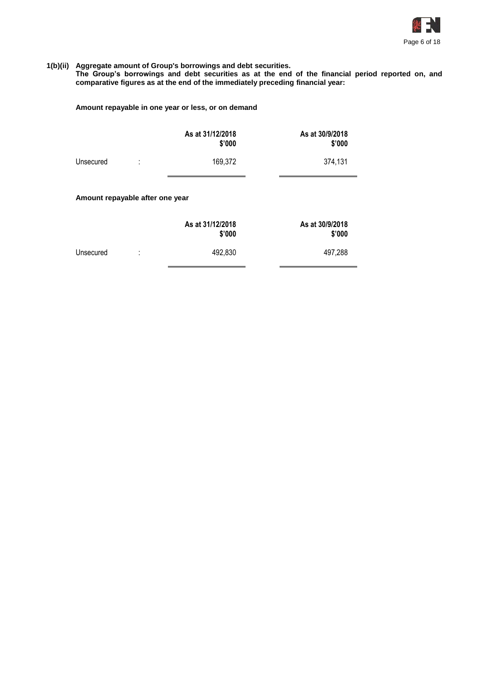

#### **1(b)(ii) Aggregate amount of Group's borrowings and debt securities.**

**The Group's borrowings and debt securities as at the end of the financial period reported on, and comparative figures as at the end of the immediately preceding financial year:**

# **Amount repayable in one year or less, or on demand**

|           |    | As at 31/12/2018<br>\$'000 | As at 30/9/2018<br>\$'000 |
|-----------|----|----------------------------|---------------------------|
| Unsecured | ٠. | 169,372                    | 374,131                   |
|           |    |                            |                           |

# **Amount repayable after one year**

|           | As at 31/12/2018 |         | As at 30/9/2018<br>\$'000 |
|-----------|------------------|---------|---------------------------|
| Unsecured | ٠<br>٠           | 492.830 | 497,288                   |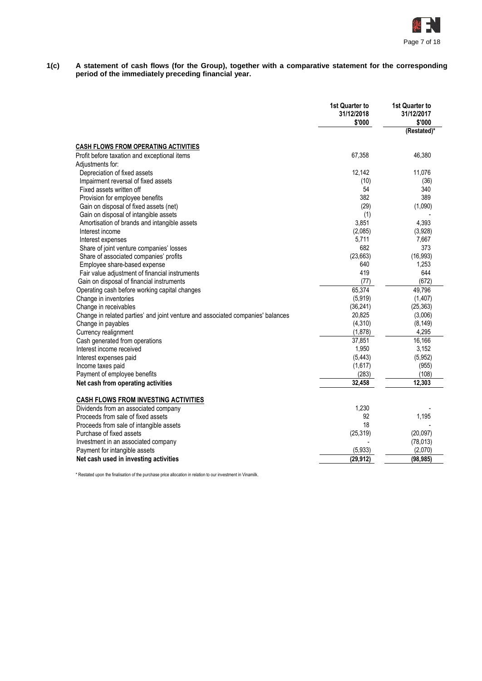

**1(c) A statement of cash flows (for the Group), together with a comparative statement for the corresponding period of the immediately preceding financial year.**

|                                                                                 | <b>1st Quarter to</b><br>31/12/2018<br>\$'000 | 1st Quarter to<br>31/12/2017<br>\$'000<br>(Restated)* |
|---------------------------------------------------------------------------------|-----------------------------------------------|-------------------------------------------------------|
|                                                                                 |                                               |                                                       |
| <b>CASH FLOWS FROM OPERATING ACTIVITIES</b>                                     |                                               |                                                       |
| Profit before taxation and exceptional items                                    | 67,358                                        | 46,380                                                |
| Adjustments for:                                                                |                                               |                                                       |
| Depreciation of fixed assets                                                    | 12,142                                        | 11,076                                                |
| Impairment reversal of fixed assets                                             | (10)                                          | (36)                                                  |
| Fixed assets written off                                                        | 54                                            | 340                                                   |
| Provision for employee benefits                                                 | 382                                           | 389                                                   |
| Gain on disposal of fixed assets (net)                                          | (29)                                          | (1,090)                                               |
| Gain on disposal of intangible assets                                           | (1)                                           |                                                       |
| Amortisation of brands and intangible assets                                    | 3,851                                         | 4,393                                                 |
| Interest income                                                                 | (2,085)                                       | (3,928)                                               |
| Interest expenses                                                               | 5,711                                         | 7,667                                                 |
| Share of joint venture companies' losses                                        | 682                                           | 373                                                   |
| Share of associated companies' profits                                          | (23, 663)<br>640                              | (16, 993)<br>1,253                                    |
| Employee share-based expense<br>Fair value adjustment of financial instruments  | 419                                           | 644                                                   |
| Gain on disposal of financial instruments                                       | (77)                                          | (672)                                                 |
| Operating cash before working capital changes                                   | 65,374                                        | 49,796                                                |
| Change in inventories                                                           | (5,919)                                       | (1, 407)                                              |
| Change in receivables                                                           | (36, 241)                                     | (25, 363)                                             |
| Change in related parties' and joint venture and associated companies' balances | 20,825                                        | (3,006)                                               |
| Change in payables                                                              | (4, 310)                                      | (8, 149)                                              |
| Currency realignment                                                            | (1,878)                                       | 4,295                                                 |
| Cash generated from operations                                                  | 37,851                                        | 16,166                                                |
| Interest income received                                                        | 1,950                                         | 3,152                                                 |
| Interest expenses paid                                                          | (5, 443)                                      | (5,952)                                               |
| Income taxes paid                                                               | (1,617)                                       | (955)                                                 |
| Payment of employee benefits                                                    | (283)                                         | (108)                                                 |
| Net cash from operating activities                                              | 32,458                                        | 12,303                                                |
|                                                                                 |                                               |                                                       |
| <b>CASH FLOWS FROM INVESTING ACTIVITIES</b>                                     |                                               |                                                       |
| Dividends from an associated company                                            | 1,230                                         |                                                       |
| Proceeds from sale of fixed assets                                              | 92                                            | 1,195                                                 |
| Proceeds from sale of intangible assets                                         | 18                                            |                                                       |
| Purchase of fixed assets                                                        | (25, 319)                                     | (20,097)                                              |
| Investment in an associated company                                             |                                               | (78, 013)                                             |
| Payment for intangible assets                                                   | (5,933)                                       | (2,070)                                               |
| Net cash used in investing activities                                           | (29, 912)                                     | (98, 985)                                             |

\* Restated upon the finalisation of the purchase price allocation in relation to our investment in Vinamilk.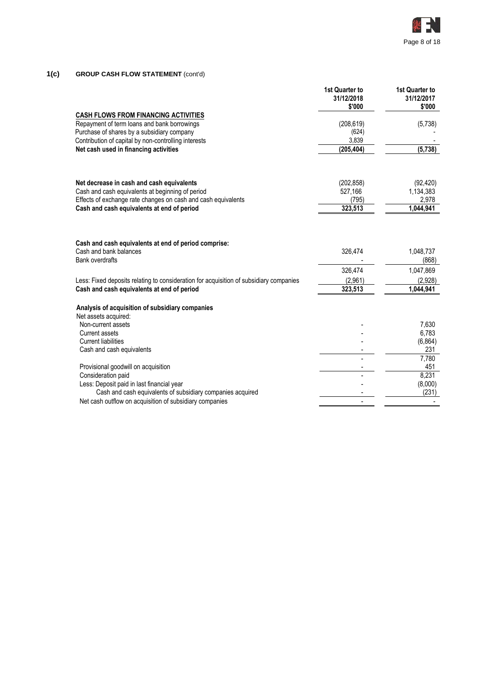

# **1(c) GROUP CASH FLOW STATEMENT** (cont'd)

|                                                                                                          | 1st Quarter to<br>31/12/2018<br>\$'000 | 1st Quarter to<br>31/12/2017<br>\$'000 |
|----------------------------------------------------------------------------------------------------------|----------------------------------------|----------------------------------------|
| <b>CASH FLOWS FROM FINANCING ACTIVITIES</b>                                                              |                                        |                                        |
| Repayment of term loans and bank borrowings                                                              | (208, 619)                             | (5,738)                                |
| Purchase of shares by a subsidiary company                                                               | (624)                                  |                                        |
| Contribution of capital by non-controlling interests                                                     | 3,839                                  |                                        |
| Net cash used in financing activities                                                                    | (205, 404)                             | (5,738)                                |
| Net decrease in cash and cash equivalents                                                                | (202, 858)                             | (92, 420)                              |
| Cash and cash equivalents at beginning of period                                                         | 527,166                                | 1,134,383                              |
| Effects of exchange rate changes on cash and cash equivalents                                            | (795)                                  | 2,978                                  |
| Cash and cash equivalents at end of period                                                               | 323,513                                | 1,044,941                              |
| Cash and cash equivalents at end of period comprise:<br>Cash and bank balances<br><b>Bank overdrafts</b> | 326,474                                | 1,048,737<br>(868)                     |
|                                                                                                          | 326,474                                | 1,047,869                              |
| Less: Fixed deposits relating to consideration for acquisition of subsidiary companies                   | (2,961)                                | (2.928)                                |
| Cash and cash equivalents at end of period                                                               | 323,513                                | 1,044,941                              |
| Analysis of acquisition of subsidiary companies<br>Net assets acquired:                                  |                                        |                                        |
| Non-current assets                                                                                       |                                        | 7.630                                  |
| <b>Current assets</b>                                                                                    |                                        | 6,783                                  |
| <b>Current liabilities</b>                                                                               |                                        | (6, 864)                               |
| Cash and cash equivalents                                                                                |                                        | 231                                    |
|                                                                                                          |                                        | 7,780                                  |
| Provisional goodwill on acquisition                                                                      |                                        | 451                                    |
| Consideration paid                                                                                       |                                        | 8,231                                  |
| Less: Deposit paid in last financial year                                                                |                                        | (8,000)                                |
| Cash and cash equivalents of subsidiary companies acquired                                               |                                        | (231)                                  |
| Net cash outflow on acquisition of subsidiary companies                                                  |                                        |                                        |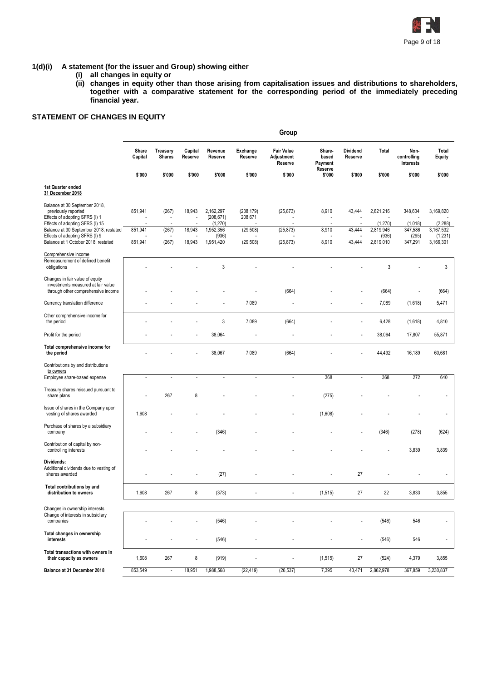

# **1(d)(i) A statement (for the issuer and Group) showing either**

- **(i) all changes in equity or**
- **(ii) changes in equity other than those arising from capitalisation issues and distributions to shareholders, together with a comparative statement for the corresponding period of the immediately preceding financial year.**

# **STATEMENT OF CHANGES IN EQUITY**

|                                                                                                                           |                  |                           |                          |                                    |                       | Group                                      |                                       |                            |                      |                                  |                          |
|---------------------------------------------------------------------------------------------------------------------------|------------------|---------------------------|--------------------------|------------------------------------|-----------------------|--------------------------------------------|---------------------------------------|----------------------------|----------------------|----------------------------------|--------------------------|
|                                                                                                                           | Share<br>Capital | Treasury<br><b>Shares</b> | Capital<br>Reserve       | Revenue<br>Reserve                 | Exchange<br>Reserve   | <b>Fair Value</b><br>Adjustment<br>Reserve | Share-<br>based<br>Payment<br>Reserve | <b>Dividend</b><br>Reserve | Total                | Non-<br>controlling<br>Interests | Total<br><b>Equity</b>   |
|                                                                                                                           | \$'000           | \$'000                    | \$'000                   | \$'000                             | \$'000                | \$'000                                     | \$'000                                | \$'000                     | \$'000               | \$'000                           | \$'000                   |
| 1st Quarter ended<br>31 December 2018                                                                                     |                  |                           |                          |                                    |                       |                                            |                                       |                            |                      |                                  |                          |
| Balance at 30 September 2018,<br>previously reported<br>Effects of adopting SFRS (I) 1<br>Effects of adopting SFRS (I) 15 | 851,941          | (267)                     | 18,943                   | 2,162,297<br>(208, 671)<br>(1,270) | (238, 179)<br>208,671 | (25, 873)                                  | 8,910                                 | 43,444                     | 2,821,216<br>(1,270) | 348,604<br>(1,018)               | 3,169,820<br>(2, 288)    |
| Balance at 30 September 2018, restated<br>Effects of adopting SFRS (I) 9                                                  | 851,941          | (267)                     | 18,943                   | 1,952,356<br>(936)                 | (29, 508)             | (25, 873)                                  | 8,910                                 | 43,444                     | 2,819,946<br>(936)   | 347,586<br>(295)                 | 3,167,532<br>(1,231)     |
| Balance at 1 October 2018, restated                                                                                       | 851,941          | (267)                     | 18,943                   | 1,951,420                          | (29, 508)             | (25, 873)                                  | 8,910                                 | 43,444                     | 2,819,010            | 347,291                          | 3,166,301                |
| Comprehensive income<br>Remeasurement of defined benefit<br>obligations                                                   |                  |                           |                          | 3                                  |                       |                                            |                                       |                            | 3                    |                                  | 3                        |
| Changes in fair value of equity<br>investments measured at fair value<br>through other comprehensive income               |                  |                           |                          |                                    |                       | (664)                                      |                                       |                            | (664)                | ÷,                               | (664)                    |
| Currency translation difference                                                                                           |                  |                           |                          |                                    | 7,089                 |                                            |                                       | ÷                          | 7,089                | (1,618)                          | 5,471                    |
| Other comprehensive income for<br>the period                                                                              |                  |                           |                          | 3                                  | 7,089                 | (664)                                      |                                       |                            | 6,428                | (1,618)                          | 4,810                    |
| Profit for the period                                                                                                     |                  |                           |                          | 38,064                             |                       |                                            |                                       | ÷,                         | 38,064               | 17,807                           | 55,871                   |
| Total comprehensive income for<br>the period                                                                              |                  |                           |                          | 38,067                             | 7,089                 | (664)                                      |                                       |                            | 44,492               | 16,189                           | 60,681                   |
| Contributions by and distributions<br>to owners                                                                           |                  |                           |                          |                                    |                       |                                            |                                       |                            |                      |                                  |                          |
| Employee share-based expense                                                                                              | $\sim$           | $\overline{a}$            | $\overline{a}$           | ÷.                                 | $\overline{a}$        |                                            | 368                                   | $\overline{a}$             | 368                  | 272                              | 640                      |
| Treasury shares reissued pursuant to<br>share plans                                                                       |                  | 267                       | 8                        |                                    |                       |                                            | (275)                                 |                            |                      |                                  |                          |
| Issue of shares in the Company upon<br>vesting of shares awarded                                                          | 1,608            |                           |                          |                                    |                       |                                            | (1,608)                               |                            |                      |                                  |                          |
| Purchase of shares by a subsidiary<br>company                                                                             |                  |                           |                          | (346)                              |                       |                                            |                                       |                            | (346)                | (278)                            | (624)                    |
| Contribution of capital by non-<br>controlling interests                                                                  |                  |                           |                          |                                    |                       |                                            |                                       |                            |                      | 3,839                            | 3,839                    |
| Dividends:<br>Additional dividends due to vesting of<br>shares awarded                                                    |                  |                           |                          | (27)                               |                       |                                            |                                       | 27                         |                      |                                  |                          |
| Total contributions by and<br>distribution to owners                                                                      | 1,608            | 267                       | 8                        | (373)                              |                       |                                            | (1,515)                               | 27                         | 22                   | 3,833                            | 3,855                    |
| Changes in ownership interests                                                                                            |                  |                           |                          |                                    |                       |                                            |                                       |                            |                      |                                  |                          |
| Change of interests in subsidiary<br>companies                                                                            |                  |                           | ÷                        | (546)                              | ä,                    |                                            | ÷,                                    | $\overline{a}$             | (546)                | 546                              | $\overline{\phantom{a}}$ |
| Total changes in ownership<br>interests                                                                                   |                  |                           | $\overline{\phantom{a}}$ | (546)                              | ÷,                    |                                            |                                       | ÷                          | (546)                | 546                              | ÷,                       |
| Total transactions with owners in<br>their capacity as owners                                                             | 1,608            | 267                       | 8                        | (919)                              | $\overline{a}$        |                                            | (1, 515)                              | 27                         | (524)                | 4,379                            | 3,855                    |
| Balance at 31 December 2018                                                                                               | 853,549          | $\Box$                    | 18,951                   | 1,988,568                          | (22, 419)             | (26, 537)                                  | 7,395                                 | 43,471                     | 2,862,978            | 367,859                          | 3,230,837                |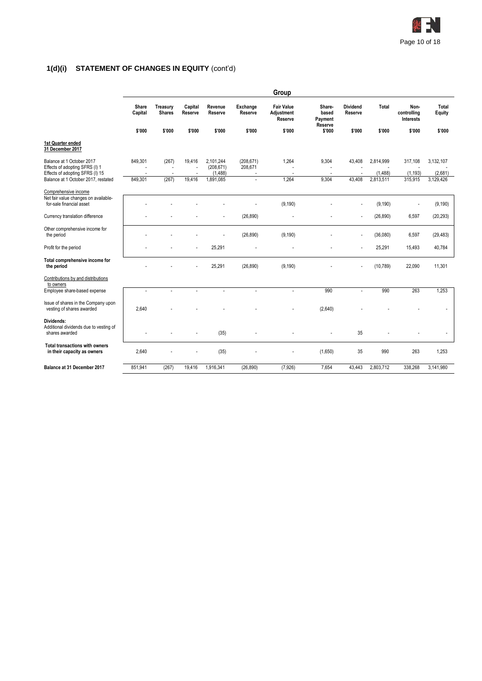

# **1(d)(i) STATEMENT OF CHANGES IN EQUITY** (cont'd)

|                                                                        |                  |                           |                    |                         |                                  | Group                                      |                                       |                            |                      |                                  |                        |
|------------------------------------------------------------------------|------------------|---------------------------|--------------------|-------------------------|----------------------------------|--------------------------------------------|---------------------------------------|----------------------------|----------------------|----------------------------------|------------------------|
|                                                                        | Share<br>Capital | Treasury<br><b>Shares</b> | Capital<br>Reserve | Revenue<br>Reserve      | Exchange<br>Reserve              | <b>Fair Value</b><br>Adjustment<br>Reserve | Share-<br>based<br>Payment<br>Reserve | <b>Dividend</b><br>Reserve | Total                | Non-<br>controlling<br>Interests | Total<br><b>Equity</b> |
|                                                                        | \$'000           | \$'000                    | \$'000             | \$'000                  | \$'000                           | \$'000                                     | \$'000                                | \$'000                     | \$'000               | \$'000                           | \$'000                 |
| 1st Quarter ended<br>31 December 2017                                  |                  |                           |                    |                         |                                  |                                            |                                       |                            |                      |                                  |                        |
| Balance at 1 October 2017<br>Effects of adopting SFRS (I) 1            | 849,301          | (267)<br>÷,               | 19,416             | 2,101,244<br>(208, 671) | (208, 671)<br>208,671            | 1,264                                      | 9,304                                 | 43,408                     | 2,814,999            | 317,108                          | 3,132,107              |
| Effects of adopting SFRS (I) 15<br>Balance at 1 October 2017, restated | 849,301          | ÷,<br>(267)               | 19,416             | (1,488)<br>1,891,085    | $\overline{a}$<br>$\overline{a}$ | ÷<br>1,264                                 | 9,304                                 | 43.408                     | (1,488)<br>2,813,511 | (1, 193)<br>315,915              | (2,681)<br>3,129,426   |
| Comprehensive income                                                   |                  |                           |                    |                         |                                  |                                            |                                       |                            |                      |                                  |                        |
| Net fair value changes on available-<br>for-sale financial asset       |                  |                           |                    |                         |                                  | (9, 190)                                   |                                       |                            | (9, 190)             | ÷                                | (9, 190)               |
| Currency translation difference                                        |                  |                           |                    |                         | (26, 890)                        |                                            |                                       |                            | (26, 890)            | 6,597                            | (20, 293)              |
| Other comprehensive income for<br>the period                           |                  |                           |                    |                         | (26, 890)                        | (9, 190)                                   |                                       |                            | (36,080)             | 6,597                            | (29, 483)              |
| Profit for the period                                                  |                  |                           |                    | 25,291                  |                                  |                                            |                                       |                            | 25,291               | 15,493                           | 40,784                 |
| Total comprehensive income for<br>the period                           |                  |                           |                    | 25,291                  | (26, 890)                        | (9, 190)                                   |                                       |                            | (10, 789)            | 22,090                           | 11,301                 |
| Contributions by and distributions<br>to owners                        |                  |                           |                    |                         |                                  |                                            |                                       |                            |                      |                                  |                        |
| Employee share-based expense                                           | ÷,               |                           |                    | $\overline{a}$          | $\overline{a}$                   | ÷                                          | 990                                   | $\overline{a}$             | 990                  | 263                              | 1,253                  |
| Issue of shares in the Company upon<br>vesting of shares awarded       | 2,640            |                           |                    |                         |                                  |                                            | (2,640)                               |                            |                      |                                  |                        |
| Dividends:<br>Additional dividends due to vesting of<br>shares awarded |                  |                           |                    | (35)                    |                                  |                                            |                                       | 35                         |                      |                                  |                        |
| <b>Total transactions with owners</b><br>in their capacity as owners   | 2,640            |                           |                    | (35)                    |                                  |                                            | (1,650)                               | 35                         | 990                  | 263                              | 1,253                  |
| Balance at 31 December 2017                                            | 851,941          | (267)                     | 19,416             | 1,916,341               | (26, 890)                        | (7,926)                                    | 7,654                                 | 43.443                     | 2,803,712            | 338,268                          | 3,141,980              |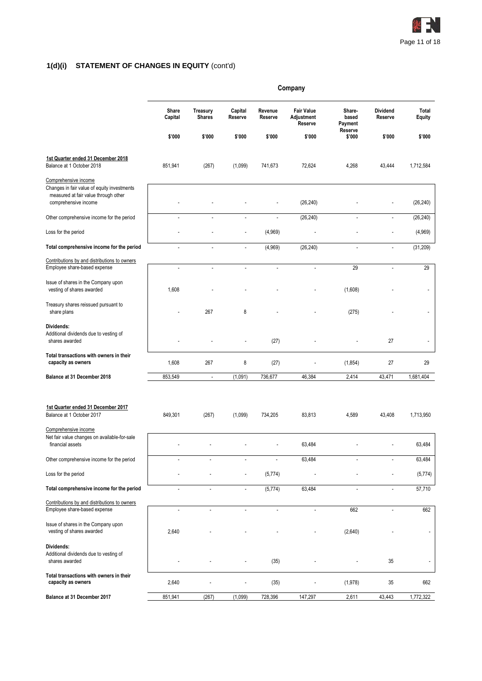

# **1(d)(i) STATEMENT OF CHANGES IN EQUITY** (cont'd)

|                                                                                                                                     | Company          |                                  |                          |                    |                                            |                            |                     |                 |  |
|-------------------------------------------------------------------------------------------------------------------------------------|------------------|----------------------------------|--------------------------|--------------------|--------------------------------------------|----------------------------|---------------------|-----------------|--|
|                                                                                                                                     | Share<br>Capital | <b>Treasury</b><br><b>Shares</b> | Capital<br>Reserve       | Revenue<br>Reserve | <b>Fair Value</b><br>Adjustment<br>Reserve | Share-<br>based<br>Payment | Dividend<br>Reserve | Total<br>Equity |  |
|                                                                                                                                     | \$'000           | \$'000                           | \$'000                   | \$'000             | \$'000                                     | Reserve<br>\$'000          | \$'000              | \$'000          |  |
| 1st Quarter ended 31 December 2018<br>Balance at 1 October 2018                                                                     | 851,941          | (267)                            | (1,099)                  | 741,673            | 72,624                                     | 4,268                      | 43,444              | 1,712,584       |  |
| Comprehensive income<br>Changes in fair value of equity investments<br>measured at fair value through other<br>comprehensive income |                  |                                  |                          |                    | (26, 240)                                  |                            |                     | (26, 240)       |  |
| Other comprehensive income for the period                                                                                           | L                |                                  | $\overline{\phantom{a}}$ | ÷,                 | (26, 240)                                  | L,                         | $\overline{a}$      | (26, 240)       |  |
| Loss for the period                                                                                                                 |                  |                                  |                          | (4,969)            |                                            |                            | Ĭ.                  | (4,969)         |  |
| Total comprehensive income for the period                                                                                           |                  |                                  | $\overline{\phantom{a}}$ | (4,969)            | (26, 240)                                  | $\overline{\phantom{a}}$   | $\overline{a}$      | (31, 209)       |  |
| Contributions by and distributions to owners<br>Employee share-based expense                                                        | $\overline{a}$   | ä,                               | $\blacksquare$           | ÷.                 | $\blacksquare$                             | 29                         | ÷,                  | 29              |  |
| Issue of shares in the Company upon<br>vesting of shares awarded                                                                    | 1,608            |                                  |                          |                    |                                            | (1,608)                    |                     | $\overline{a}$  |  |
| Treasury shares reissued pursuant to<br>share plans                                                                                 |                  | 267                              | 8                        |                    |                                            | (275)                      |                     |                 |  |
| Dividends:<br>Additional dividends due to vesting of<br>shares awarded                                                              |                  |                                  |                          | (27)               |                                            |                            | 27                  |                 |  |
| Total transactions with owners in their<br>capacity as owners                                                                       | 1,608            | 267                              | 8                        | (27)               |                                            | (1, 854)                   | 27                  | 29              |  |
| Balance at 31 December 2018                                                                                                         | 853,549          | $\overline{\phantom{a}}$         | (1,091)                  | 736,677            | 46,384                                     | 2,414                      | 43,471              | 1,681,404       |  |
| 1st Quarter ended 31 December 2017<br>Balance at 1 October 2017                                                                     | 849,301          | (267)                            | (1,099)                  | 734,205            | 83,813                                     | 4,589                      | 43,408              | 1,713,950       |  |
| Comprehensive income<br>Net fair value changes on available-for-sale<br>financial assets                                            |                  |                                  |                          |                    | 63,484                                     |                            |                     | 63,484          |  |
| Other comprehensive income for the period                                                                                           | ÷,               |                                  |                          |                    | 63,484                                     | $\overline{\phantom{a}}$   |                     | 63,484          |  |
| Loss for the period                                                                                                                 |                  |                                  |                          | (5,774)            |                                            |                            |                     | (5,774)         |  |
| Total comprehensive income for the period                                                                                           | L,               | $\overline{\phantom{a}}$         | $\overline{\phantom{a}}$ | (5, 774)           | 63,484                                     | ÷,                         | $\overline{a}$      | 57,710          |  |
| Contributions by and distributions to owners<br>Employee share-based expense                                                        |                  |                                  |                          |                    |                                            | 662                        |                     | 662             |  |
| Issue of shares in the Company upon<br>vesting of shares awarded                                                                    | 2,640            |                                  |                          |                    |                                            | (2,640)                    |                     |                 |  |
| Dividends:<br>Additional dividends due to vesting of<br>shares awarded                                                              |                  |                                  |                          | (35)               |                                            |                            | 35                  |                 |  |
| Total transactions with owners in their<br>capacity as owners                                                                       | 2,640            |                                  |                          | (35)               |                                            | (1,978)                    | 35                  | 662             |  |
| Balance at 31 December 2017                                                                                                         | 851,941          | (267)                            | (1,099)                  | 728,396            | 147,297                                    | 2,611                      | 43,443              | 1,772,322       |  |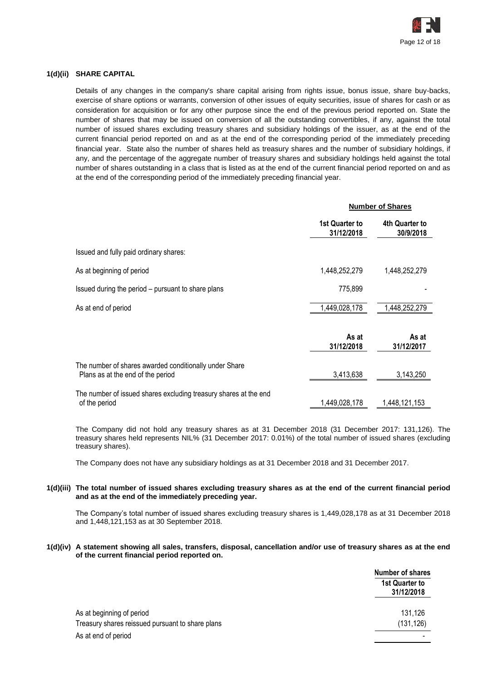

# **1(d)(ii) SHARE CAPITAL**

Details of any changes in the company's share capital arising from rights issue, bonus issue, share buy-backs, exercise of share options or warrants, conversion of other issues of equity securities, issue of shares for cash or as consideration for acquisition or for any other purpose since the end of the previous period reported on. State the number of shares that may be issued on conversion of all the outstanding convertibles, if any, against the total number of issued shares excluding treasury shares and subsidiary holdings of the issuer, as at the end of the current financial period reported on and as at the end of the corresponding period of the immediately preceding financial year. State also the number of shares held as treasury shares and the number of subsidiary holdings, if any, and the percentage of the aggregate number of treasury shares and subsidiary holdings held against the total number of shares outstanding in a class that is listed as at the end of the current financial period reported on and as at the end of the corresponding period of the immediately preceding financial year.

|                                                                                             |                              | <b>Number of Shares</b>     |  |
|---------------------------------------------------------------------------------------------|------------------------------|-----------------------------|--|
|                                                                                             | 1st Quarter to<br>31/12/2018 | 4th Quarter to<br>30/9/2018 |  |
| Issued and fully paid ordinary shares:                                                      |                              |                             |  |
| As at beginning of period                                                                   | 1,448,252,279                | 1,448,252,279               |  |
| Issued during the period – pursuant to share plans                                          | 775,899                      |                             |  |
| As at end of period                                                                         | 1,449,028,178                | 1,448,252,279               |  |
|                                                                                             | As at<br>31/12/2018          | As at<br>31/12/2017         |  |
| The number of shares awarded conditionally under Share<br>Plans as at the end of the period | 3,413,638                    | 3,143,250                   |  |
| The number of issued shares excluding treasury shares at the end<br>of the period           | 1,449,028,178                | 1,448,121,153               |  |

The Company did not hold any treasury shares as at 31 December 2018 (31 December 2017: 131,126). The treasury shares held represents NIL% (31 December 2017: 0.01%) of the total number of issued shares (excluding treasury shares).

The Company does not have any subsidiary holdings as at 31 December 2018 and 31 December 2017.

#### **1(d)(iii) The total number of issued shares excluding treasury shares as at the end of the current financial period and as at the end of the immediately preceding year.**

The Company's total number of issued shares excluding treasury shares is 1,449,028,178 as at 31 December 2018 and 1,448,121,153 as at 30 September 2018.

#### **1(d)(iv) A statement showing all sales, transfers, disposal, cancellation and/or use of treasury shares as at the end of the current financial period reported on.**

|                                                  | Number of shares             |
|--------------------------------------------------|------------------------------|
|                                                  | 1st Quarter to<br>31/12/2018 |
| As at beginning of period                        | 131,126                      |
| Treasury shares reissued pursuant to share plans | (131, 126)                   |
| As at end of period                              |                              |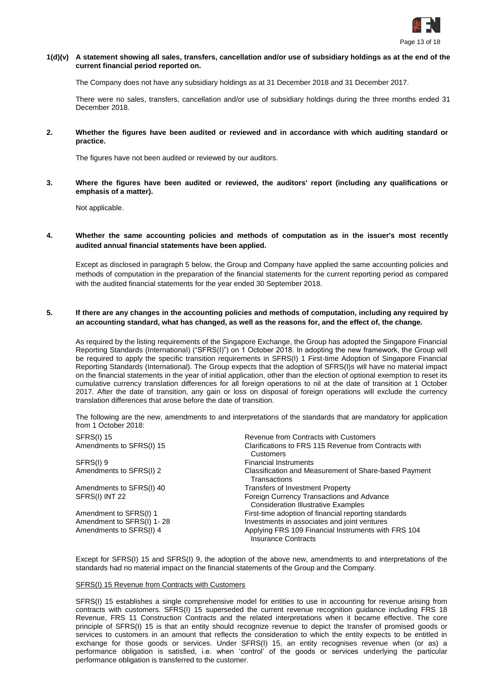

# **1(d)(v) A statement showing all sales, transfers, cancellation and/or use of subsidiary holdings as at the end of the current financial period reported on.**

The Company does not have any subsidiary holdings as at 31 December 2018 and 31 December 2017.

There were no sales, transfers, cancellation and/or use of subsidiary holdings during the three months ended 31 December 2018.

**2. Whether the figures have been audited or reviewed and in accordance with which auditing standard or practice.**

The figures have not been audited or reviewed by our auditors.

**3. Where the figures have been audited or reviewed, the auditors' report (including any qualifications or emphasis of a matter).**

Not applicable.

**4. Whether the same accounting policies and methods of computation as in the issuer's most recently audited annual financial statements have been applied.**

Except as disclosed in paragraph 5 below, the Group and Company have applied the same accounting policies and methods of computation in the preparation of the financial statements for the current reporting period as compared with the audited financial statements for the year ended 30 September 2018.

# **5. If there are any changes in the accounting policies and methods of computation, including any required by an accounting standard, what has changed, as well as the reasons for, and the effect of, the change.**

As required by the listing requirements of the Singapore Exchange, the Group has adopted the Singapore Financial Reporting Standards (International) ("SFRS(I)") on 1 October 2018. In adopting the new framework, the Group will be required to apply the specific transition requirements in SFRS(I) 1 First-time Adoption of Singapore Financial Reporting Standards (International). The Group expects that the adoption of SFRS(I)s will have no material impact on the financial statements in the year of initial application, other than the election of optional exemption to reset its cumulative currency translation differences for all foreign operations to nil at the date of transition at 1 October 2017. After the date of transition, any gain or loss on disposal of foreign operations will exclude the currency translation differences that arose before the date of transition.

The following are the new, amendments to and interpretations of the standards that are mandatory for application from 1 October 2018:

| <b>SFRS(I) 15</b>         | Revenue from Contracts with Customers                                                   |
|---------------------------|-----------------------------------------------------------------------------------------|
| Amendments to SFRS(I) 15  | Clarifications to FRS 115 Revenue from Contracts with<br>Customers                      |
| SFRS(I) 9                 | <b>Financial Instruments</b>                                                            |
| Amendments to SFRS(I) 2   | Classification and Measurement of Share-based Payment<br>Transactions                   |
| Amendments to SFRS(I) 40  | <b>Transfers of Investment Property</b>                                                 |
| SFRS(I) INT 22            | Foreign Currency Transactions and Advance<br><b>Consideration Illustrative Examples</b> |
| Amendment to SFRS(I) 1    | First-time adoption of financial reporting standards                                    |
| Amendment to SFRS(I) 1-28 | Investments in associates and joint ventures                                            |
| Amendments to SFRS(I) 4   | Applying FRS 109 Financial Instruments with FRS 104<br><b>Insurance Contracts</b>       |

Except for SFRS(I) 15 and SFRS(I) 9, the adoption of the above new, amendments to and interpretations of the standards had no material impact on the financial statements of the Group and the Company.

# SFRS(I) 15 Revenue from Contracts with Customers

SFRS(I) 15 establishes a single comprehensive model for entities to use in accounting for revenue arising from contracts with customers. SFRS(I) 15 superseded the current revenue recognition guidance including FRS 18 Revenue, FRS 11 Construction Contracts and the related interpretations when it became effective. The core principle of SFRS(I) 15 is that an entity should recognize revenue to depict the transfer of promised goods or services to customers in an amount that reflects the consideration to which the entity expects to be entitled in exchange for those goods or services. Under SFRS(I) 15, an entity recognises revenue when (or as) a performance obligation is satisfied, i.e. when 'control' of the goods or services underlying the particular performance obligation is transferred to the customer.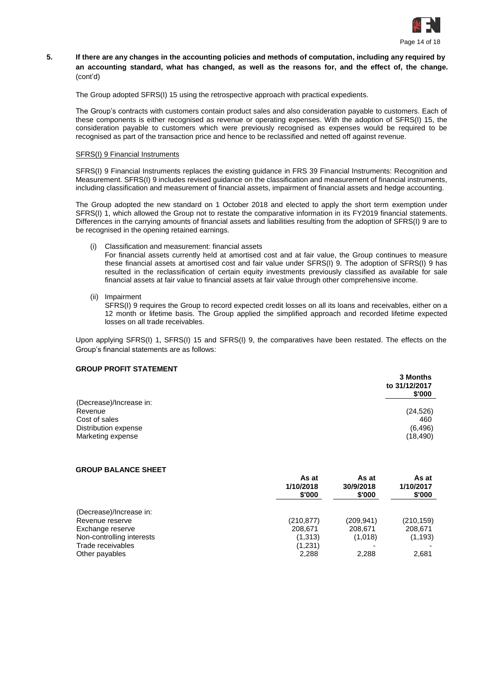

# **5. If there are any changes in the accounting policies and methods of computation, including any required by an accounting standard, what has changed, as well as the reasons for, and the effect of, the change.** (cont'd)

The Group adopted SFRS(I) 15 using the retrospective approach with practical expedients.

The Group's contracts with customers contain product sales and also consideration payable to customers. Each of these components is either recognised as revenue or operating expenses. With the adoption of SFRS(I) 15, the consideration payable to customers which were previously recognised as expenses would be required to be recognised as part of the transaction price and hence to be reclassified and netted off against revenue.

# SFRS(I) 9 Financial Instruments

SFRS(I) 9 Financial Instruments replaces the existing guidance in FRS 39 Financial Instruments: Recognition and Measurement. SFRS(I) 9 includes revised guidance on the classification and measurement of financial instruments, including classification and measurement of financial assets, impairment of financial assets and hedge accounting.

The Group adopted the new standard on 1 October 2018 and elected to apply the short term exemption under SFRS(I) 1, which allowed the Group not to restate the comparative information in its FY2019 financial statements. Differences in the carrying amounts of financial assets and liabilities resulting from the adoption of SFRS(I) 9 are to be recognised in the opening retained earnings.

(i) Classification and measurement: financial assets

For financial assets currently held at amortised cost and at fair value, the Group continues to measure these financial assets at amortised cost and fair value under SFRS(I) 9. The adoption of SFRS(I) 9 has resulted in the reclassification of certain equity investments previously classified as available for sale financial assets at fair value to financial assets at fair value through other comprehensive income.

(ii) Impairment

SFRS(I) 9 requires the Group to record expected credit losses on all its loans and receivables, either on a 12 month or lifetime basis. The Group applied the simplified approach and recorded lifetime expected losses on all trade receivables.

Upon applying SFRS(I) 1, SFRS(I) 15 and SFRS(I) 9, the comparatives have been restated. The effects on the Group's financial statements are as follows:

# **GROUP PROFIT STATEMENT**

|                         | 3 Months<br>to 31/12/2017<br>\$'000 |
|-------------------------|-------------------------------------|
| (Decrease)/Increase in: |                                     |
| Revenue                 | (24, 526)                           |
| Cost of sales           | 460                                 |
| Distribution expense    | (6, 496)                            |
| Marketing expense       | (18, 490)                           |

# **GROUP BALANCE SHEET**

|                           | As at<br>1/10/2018<br>\$'000 | As at<br>30/9/2018<br>\$'000 | As at<br>1/10/2017<br>\$'000 |
|---------------------------|------------------------------|------------------------------|------------------------------|
| (Decrease)/Increase in:   |                              |                              |                              |
| Revenue reserve           | (210, 877)                   | (209,941)                    | (210, 159)                   |
| Exchange reserve          | 208,671                      | 208,671                      | 208,671                      |
| Non-controlling interests | (1,313)                      | (1,018)                      | (1, 193)                     |
| Trade receivables         | (1,231)                      |                              |                              |
| Other payables            | 2,288                        | 2,288                        | 2,681                        |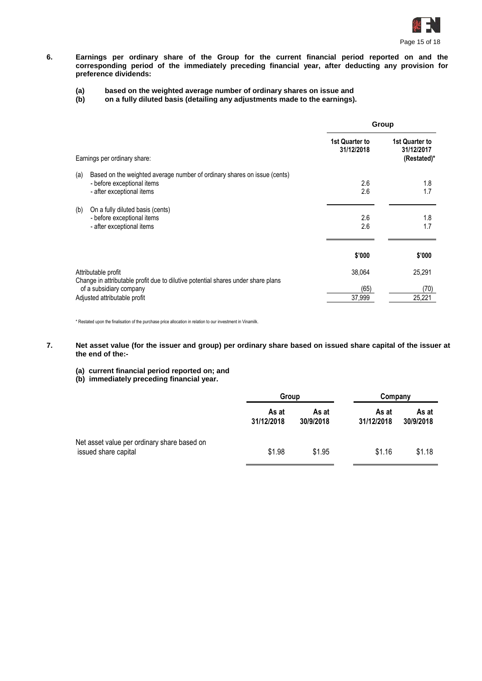

**6. Earnings per ordinary share of the Group for the current financial period reported on and the corresponding period of the immediately preceding financial year, after deducting any provision for preference dividends:**

# **(a) based on the weighted average number of ordinary shares on issue and**

**(b) on a fully diluted basis (detailing any adjustments made to the earnings).**

|                                                                                                                                            |                              | Group                                       |  |
|--------------------------------------------------------------------------------------------------------------------------------------------|------------------------------|---------------------------------------------|--|
| Earnings per ordinary share:                                                                                                               | 1st Quarter to<br>31/12/2018 | 1st Quarter to<br>31/12/2017<br>(Restated)* |  |
| (a)<br>Based on the weighted average number of ordinary shares on issue (cents)<br>- before exceptional items<br>- after exceptional items | 2.6<br>2.6                   | 1.8<br>1.7                                  |  |
| (b)<br>On a fully diluted basis (cents)<br>- before exceptional items<br>- after exceptional items                                         | 2.6<br>2.6                   | 1.8<br>1.7                                  |  |
|                                                                                                                                            | \$'000                       | \$'000                                      |  |
| Attributable profit<br>Change in attributable profit due to dilutive potential shares under share plans                                    | 38,064                       | 25,291                                      |  |
| of a subsidiary company<br>Adjusted attributable profit                                                                                    | (65)<br>37,999               | (70)<br>25,221                              |  |

\* Restated upon the finalisation of the purchase price allocation in relation to our investment in Vinamilk.

- **7. Net asset value (for the issuer and group) per ordinary share based on issued share capital of the issuer at the end of the:-**
	- **(a) current financial period reported on; and**
	- **(b) immediately preceding financial year.**

|                                                                     | Group               |                    | Company             |                    |
|---------------------------------------------------------------------|---------------------|--------------------|---------------------|--------------------|
|                                                                     | As at<br>31/12/2018 | As at<br>30/9/2018 | As at<br>31/12/2018 | As at<br>30/9/2018 |
| Net asset value per ordinary share based on<br>issued share capital | \$1.98              | \$1.95             | \$1.16              | \$1.18             |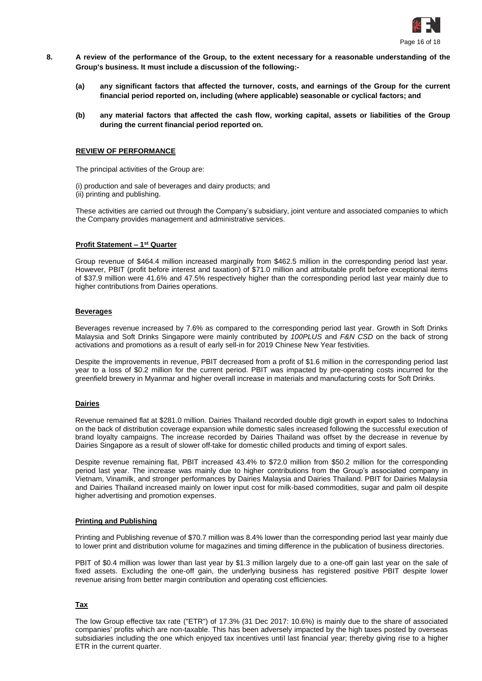

- **8. A review of the performance of the Group, to the extent necessary for a reasonable understanding of the Group's business. It must include a discussion of the following:-**
	- **(a) any significant factors that affected the turnover, costs, and earnings of the Group for the current financial period reported on, including (where applicable) seasonable or cyclical factors; and**
	- **(b) any material factors that affected the cash flow, working capital, assets or liabilities of the Group during the current financial period reported on.**

# **REVIEW OF PERFORMANCE**

The principal activities of the Group are:

(i) production and sale of beverages and dairy products; and (ii) printing and publishing.

These activities are carried out through the Company's subsidiary, joint venture and associated companies to which the Company provides management and administrative services.

#### **Profit Statement – 1 st Quarter**

Group revenue of \$464.4 million increased marginally from \$462.5 million in the corresponding period last year. However, PBIT (profit before interest and taxation) of \$71.0 million and attributable profit before exceptional items of \$37.9 million were 41.6% and 47.5% respectively higher than the corresponding period last year mainly due to higher contributions from Dairies operations.

#### **Beverages**

Beverages revenue increased by 7.6% as compared to the corresponding period last year. Growth in Soft Drinks Malaysia and Soft Drinks Singapore were mainly contributed by *100PLUS* and *F&N CSD* on the back of strong activations and promotions as a result of early sell-in for 2019 Chinese New Year festivities.

Despite the improvements in revenue, PBIT decreased from a profit of \$1.6 million in the corresponding period last year to a loss of \$0.2 million for the current period. PBIT was impacted by pre-operating costs incurred for the greenfield brewery in Myanmar and higher overall increase in materials and manufacturing costs for Soft Drinks.

# **Dairies**

Revenue remained flat at \$281.0 million. Dairies Thailand recorded double digit growth in export sales to Indochina on the back of distribution coverage expansion while domestic sales increased following the successful execution of brand loyalty campaigns. The increase recorded by Dairies Thailand was offset by the decrease in revenue by Dairies Singapore as a result of slower off-take for domestic chilled products and timing of export sales.

Despite revenue remaining flat, PBIT increased 43.4% to \$72.0 million from \$50.2 million for the corresponding period last year. The increase was mainly due to higher contributions from the Group's associated company in Vietnam, Vinamilk, and stronger performances by Dairies Malaysia and Dairies Thailand. PBIT for Dairies Malaysia and Dairies Thailand increased mainly on lower input cost for milk-based commodities, sugar and palm oil despite higher advertising and promotion expenses.

#### **Printing and Publishing**

Printing and Publishing revenue of \$70.7 million was 8.4% lower than the corresponding period last year mainly due to lower print and distribution volume for magazines and timing difference in the publication of business directories.

PBIT of \$0.4 million was lower than last year by \$1.3 million largely due to a one-off gain last year on the sale of fixed assets. Excluding the one-off gain, the underlying business has registered positive PBIT despite lower revenue arising from better margin contribution and operating cost efficiencies.

# **Tax**

The low Group effective tax rate ("ETR") of 17.3% (31 Dec 2017: 10.6%) is mainly due to the share of associated companies' profits which are non-taxable. This has been adversely impacted by the high taxes posted by overseas subsidiaries including the one which enjoyed tax incentives until last financial year; thereby giving rise to a higher ETR in the current quarter.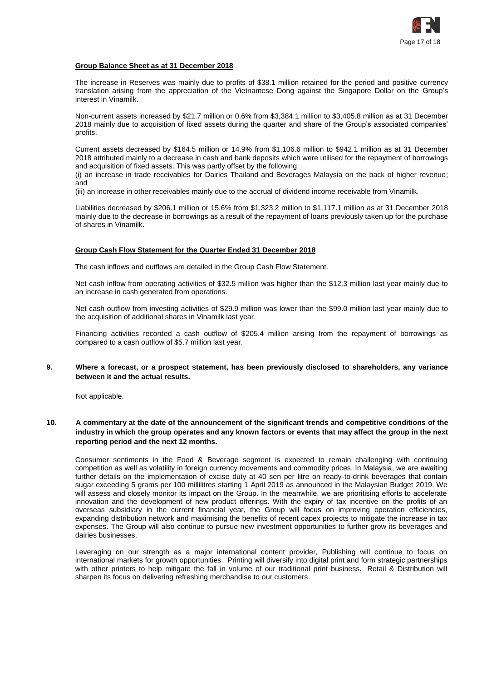

# **Group Balance Sheet as at 31 December 2018**

The increase in Reserves was mainly due to profits of \$38.1 million retained for the period and positive currency translation arising from the appreciation of the Vietnamese Dong against the Singapore Dollar on the Group's interest in Vinamilk.

Non-current assets increased by \$21.7 million or 0.6% from \$3,384.1 million to \$3,405.8 million as at 31 December 2018 mainly due to acquisition of fixed assets during the quarter and share of the Group's associated companies' profits.

Current assets decreased by \$164.5 million or 14.9% from \$1,106.6 million to \$942.1 million as at 31 December 2018 attributed mainly to a decrease in cash and bank deposits which were utilised for the repayment of borrowings and acquisition of fixed assets. This was partly offset by the following:

(i) an increase in trade receivables for Dairies Thailand and Beverages Malaysia on the back of higher revenue; and

(iii) an increase in other receivables mainly due to the accrual of dividend income receivable from Vinamilk.

Liabilities decreased by \$206.1 million or 15.6% from \$1,323.2 million to \$1,117.1 million as at 31 December 2018 mainly due to the decrease in borrowings as a result of the repayment of loans previously taken up for the purchase of shares in Vinamilk.

#### **Group Cash Flow Statement for the Quarter Ended 31 December 2018**

The cash inflows and outflows are detailed in the Group Cash Flow Statement.

Net cash inflow from operating activities of \$32.5 million was higher than the \$12.3 million last year mainly due to an increase in cash generated from operations.

Net cash outflow from investing activities of \$29.9 million was lower than the \$99.0 million last year mainly due to the acquisition of additional shares in Vinamilk last year.

Financing activities recorded a cash outflow of \$205.4 million arising from the repayment of borrowings as compared to a cash outflow of \$5.7 million last year.

# **9. Where a forecast, or a prospect statement, has been previously disclosed to shareholders, any variance between it and the actual results.**

Not applicable.

# **10. A commentary at the date of the announcement of the significant trends and competitive conditions of the industry in which the group operates and any known factors or events that may affect the group in the next reporting period and the next 12 months.**

Consumer sentiments in the Food & Beverage segment is expected to remain challenging with continuing competition as well as volatility in foreign currency movements and commodity prices. In Malaysia, we are awaiting further details on the implementation of excise duty at 40 sen per litre on ready-to-drink beverages that contain sugar exceeding 5 grams per 100 millilitres starting 1 April 2019 as announced in the Malaysian Budget 2019. We will assess and closely monitor its impact on the Group. In the meanwhile, we are prioritising efforts to accelerate innovation and the development of new product offerings. With the expiry of tax incentive on the profits of an overseas subsidiary in the current financial year, the Group will focus on improving operation efficiencies, expanding distribution network and maximising the benefits of recent capex projects to mitigate the increase in tax expenses. The Group will also continue to pursue new investment opportunities to further grow its beverages and dairies businesses.

Leveraging on our strength as a major international content provider, Publishing will continue to focus on international markets for growth opportunities. Printing will diversify into digital print and form strategic partnerships with other printers to help mitigate the fall in volume of our traditional print business. Retail & Distribution will sharpen its focus on delivering refreshing merchandise to our customers.